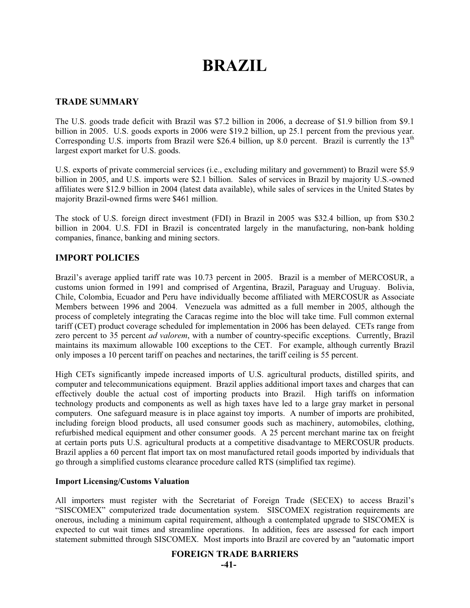# **BRAZIL**

# **TRADE SUMMARY**

The U.S. goods trade deficit with Brazil was \$7.2 billion in 2006, a decrease of \$1.9 billion from \$9.1 billion in 2005. U.S. goods exports in 2006 were \$19.2 billion, up 25.1 percent from the previous year. Corresponding U.S. imports from Brazil were \$26.4 billion, up 8.0 percent. Brazil is currently the  $13<sup>th</sup>$ largest export market for U.S. goods.

U.S. exports of private commercial services (i.e., excluding military and government) to Brazil were \$5.9 billion in 2005, and U.S. imports were \$2.1 billion. Sales of services in Brazil by majority U.S.-owned affiliates were \$12.9 billion in 2004 (latest data available), while sales of services in the United States by majority Brazil-owned firms were \$461 million.

The stock of U.S. foreign direct investment (FDI) in Brazil in 2005 was \$32.4 billion, up from \$30.2 billion in 2004. U.S. FDI in Brazil is concentrated largely in the manufacturing, non-bank holding companies, finance, banking and mining sectors.

# **IMPORT POLICIES**

Brazil's average applied tariff rate was 10.73 percent in 2005. Brazil is a member of MERCOSUR, a customs union formed in 1991 and comprised of Argentina, Brazil, Paraguay and Uruguay. Bolivia, Chile, Colombia, Ecuador and Peru have individually become affiliated with MERCOSUR as Associate Members between 1996 and 2004. Venezuela was admitted as a full member in 2005, although the process of completely integrating the Caracas regime into the bloc will take time. Full common external tariff (CET) product coverage scheduled for implementation in 2006 has been delayed. CETs range from zero percent to 35 percent *ad valorem*, with a number of country-specific exceptions. Currently, Brazil maintains its maximum allowable 100 exceptions to the CET. For example, although currently Brazil only imposes a 10 percent tariff on peaches and nectarines, the tariff ceiling is 55 percent.

High CETs significantly impede increased imports of U.S. agricultural products, distilled spirits, and computer and telecommunications equipment. Brazil applies additional import taxes and charges that can effectively double the actual cost of importing products into Brazil. High tariffs on information technology products and components as well as high taxes have led to a large gray market in personal computers. One safeguard measure is in place against toy imports. A number of imports are prohibited, including foreign blood products, all used consumer goods such as machinery, automobiles, clothing, refurbished medical equipment and other consumer goods. A 25 percent merchant marine tax on freight at certain ports puts U.S. agricultural products at a competitive disadvantage to MERCOSUR products. Brazil applies a 60 percent flat import tax on most manufactured retail goods imported by individuals that go through a simplified customs clearance procedure called RTS (simplified tax regime).

# **Import Licensing/Customs Valuation**

All importers must register with the Secretariat of Foreign Trade (SECEX) to access Brazil's "SISCOMEX" computerized trade documentation system. SISCOMEX registration requirements are onerous, including a minimum capital requirement, although a contemplated upgrade to SISCOMEX is expected to cut wait times and streamline operations. In addition, fees are assessed for each import statement submitted through SISCOMEX. Most imports into Brazil are covered by an "automatic import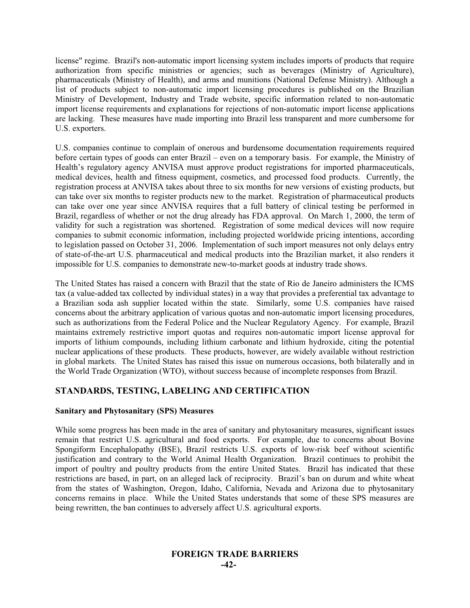license" regime. Brazil's non-automatic import licensing system includes imports of products that require authorization from specific ministries or agencies; such as beverages (Ministry of Agriculture), pharmaceuticals (Ministry of Health), and arms and munitions (National Defense Ministry). Although a list of products subject to non-automatic import licensing procedures is published on the Brazilian Ministry of Development, Industry and Trade website, specific information related to non-automatic import license requirements and explanations for rejections of non-automatic import license applications are lacking. These measures have made importing into Brazil less transparent and more cumbersome for U.S. exporters.

U.S. companies continue to complain of onerous and burdensome documentation requirements required before certain types of goods can enter Brazil – even on a temporary basis. For example, the Ministry of Health's regulatory agency ANVISA must approve product registrations for imported pharmaceuticals, medical devices, health and fitness equipment, cosmetics, and processed food products. Currently, the registration process at ANVISA takes about three to six months for new versions of existing products, but can take over six months to register products new to the market. Registration of pharmaceutical products can take over one year since ANVISA requires that a full battery of clinical testing be performed in Brazil, regardless of whether or not the drug already has FDA approval. On March 1, 2000, the term of validity for such a registration was shortened. Registration of some medical devices will now require companies to submit economic information, including projected worldwide pricing intentions, according to legislation passed on October 31, 2006. Implementation of such import measures not only delays entry of state-of-the-art U.S. pharmaceutical and medical products into the Brazilian market, it also renders it impossible for U.S. companies to demonstrate new-to-market goods at industry trade shows.

The United States has raised a concern with Brazil that the state of Rio de Janeiro administers the ICMS tax (a value-added tax collected by individual states) in a way that provides a preferential tax advantage to a Brazilian soda ash supplier located within the state. Similarly, some U.S. companies have raised concerns about the arbitrary application of various quotas and non-automatic import licensing procedures, such as authorizations from the Federal Police and the Nuclear Regulatory Agency. For example, Brazil maintains extremely restrictive import quotas and requires non-automatic import license approval for imports of lithium compounds, including lithium carbonate and lithium hydroxide, citing the potential nuclear applications of these products. These products, however, are widely available without restriction in global markets. The United States has raised this issue on numerous occasions, both bilaterally and in the World Trade Organization (WTO), without success because of incomplete responses from Brazil.

# **STANDARDS, TESTING, LABELING AND CERTIFICATION**

# **Sanitary and Phytosanitary (SPS) Measures**

While some progress has been made in the area of sanitary and phytosanitary measures, significant issues remain that restrict U.S. agricultural and food exports. For example, due to concerns about Bovine Spongiform Encephalopathy (BSE), Brazil restricts U.S. exports of low-risk beef without scientific justification and contrary to the World Animal Health Organization. Brazil continues to prohibit the import of poultry and poultry products from the entire United States. Brazil has indicated that these restrictions are based, in part, on an alleged lack of reciprocity. Brazil's ban on durum and white wheat from the states of Washington, Oregon, Idaho, California, Nevada and Arizona due to phytosanitary concerns remains in place. While the United States understands that some of these SPS measures are being rewritten, the ban continues to adversely affect U.S. agricultural exports.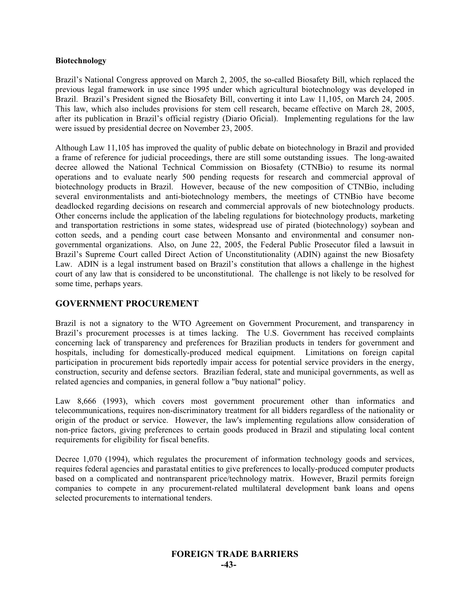#### **Biotechnology**

Brazil's National Congress approved on March 2, 2005, the so-called Biosafety Bill, which replaced the previous legal framework in use since 1995 under which agricultural biotechnology was developed in Brazil. Brazil's President signed the Biosafety Bill, converting it into Law 11,105, on March 24, 2005. This law, which also includes provisions for stem cell research, became effective on March 28, 2005, after its publication in Brazil's official registry (Diario Oficial). Implementing regulations for the law were issued by presidential decree on November 23, 2005.

Although Law 11,105 has improved the quality of public debate on biotechnology in Brazil and provided a frame of reference for judicial proceedings, there are still some outstanding issues. The long-awaited decree allowed the National Technical Commission on Biosafety (CTNBio) to resume its normal operations and to evaluate nearly 500 pending requests for research and commercial approval of biotechnology products in Brazil. However, because of the new composition of CTNBio, including several environmentalists and anti-biotechnology members, the meetings of CTNBio have become deadlocked regarding decisions on research and commercial approvals of new biotechnology products. Other concerns include the application of the labeling regulations for biotechnology products, marketing and transportation restrictions in some states, widespread use of pirated (biotechnology) soybean and cotton seeds, and a pending court case between Monsanto and environmental and consumer nongovernmental organizations. Also, on June 22, 2005, the Federal Public Prosecutor filed a lawsuit in Brazil's Supreme Court called Direct Action of Unconstitutionality (ADIN) against the new Biosafety Law. ADIN is a legal instrument based on Brazil's constitution that allows a challenge in the highest court of any law that is considered to be unconstitutional. The challenge is not likely to be resolved for some time, perhaps years.

# **GOVERNMENT PROCUREMENT**

Brazil is not a signatory to the WTO Agreement on Government Procurement, and transparency in Brazil's procurement processes is at times lacking. The U.S. Government has received complaints concerning lack of transparency and preferences for Brazilian products in tenders for government and hospitals, including for domestically-produced medical equipment. Limitations on foreign capital participation in procurement bids reportedly impair access for potential service providers in the energy, construction, security and defense sectors. Brazilian federal, state and municipal governments, as well as related agencies and companies, in general follow a "buy national" policy.

Law 8,666 (1993), which covers most government procurement other than informatics and telecommunications, requires non-discriminatory treatment for all bidders regardless of the nationality or origin of the product or service. However, the law's implementing regulations allow consideration of non-price factors, giving preferences to certain goods produced in Brazil and stipulating local content requirements for eligibility for fiscal benefits.

Decree 1,070 (1994), which regulates the procurement of information technology goods and services, requires federal agencies and parastatal entities to give preferences to locally-produced computer products based on a complicated and nontransparent price/technology matrix. However, Brazil permits foreign companies to compete in any procurement-related multilateral development bank loans and opens selected procurements to international tenders.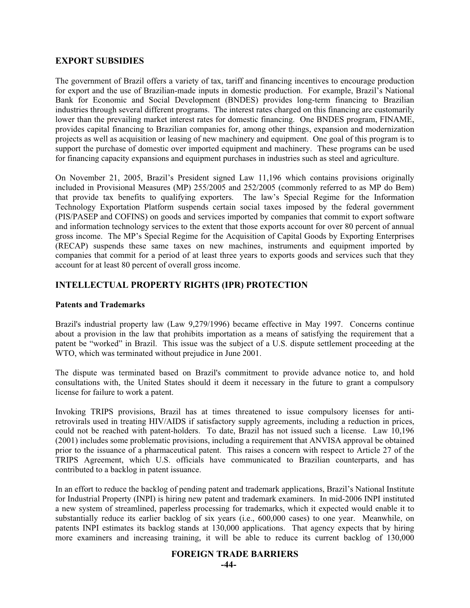# **EXPORT SUBSIDIES**

The government of Brazil offers a variety of tax, tariff and financing incentives to encourage production for export and the use of Brazilian-made inputs in domestic production. For example, Brazil's National Bank for Economic and Social Development (BNDES) provides long-term financing to Brazilian industries through several different programs. The interest rates charged on this financing are customarily lower than the prevailing market interest rates for domestic financing. One BNDES program, FINAME, provides capital financing to Brazilian companies for, among other things, expansion and modernization projects as well as acquisition or leasing of new machinery and equipment. One goal of this program is to support the purchase of domestic over imported equipment and machinery. These programs can be used for financing capacity expansions and equipment purchases in industries such as steel and agriculture.

On November 21, 2005, Brazil's President signed Law 11,196 which contains provisions originally included in Provisional Measures (MP) 255/2005 and 252/2005 (commonly referred to as MP do Bem) that provide tax benefits to qualifying exporters. The law's Special Regime for the Information Technology Exportation Platform suspends certain social taxes imposed by the federal government (PIS/PASEP and COFINS) on goods and services imported by companies that commit to export software and information technology services to the extent that those exports account for over 80 percent of annual gross income. The MP's Special Regime for the Acquisition of Capital Goods by Exporting Enterprises (RECAP) suspends these same taxes on new machines, instruments and equipment imported by companies that commit for a period of at least three years to exports goods and services such that they account for at least 80 percent of overall gross income.

# **INTELLECTUAL PROPERTY RIGHTS (IPR) PROTECTION**

# **Patents and Trademarks**

Brazil's industrial property law (Law 9,279/1996) became effective in May 1997. Concerns continue about a provision in the law that prohibits importation as a means of satisfying the requirement that a patent be "worked" in Brazil. This issue was the subject of a U.S. dispute settlement proceeding at the WTO, which was terminated without prejudice in June 2001.

The dispute was terminated based on Brazil's commitment to provide advance notice to, and hold consultations with, the United States should it deem it necessary in the future to grant a compulsory license for failure to work a patent.

Invoking TRIPS provisions, Brazil has at times threatened to issue compulsory licenses for antiretrovirals used in treating HIV/AIDS if satisfactory supply agreements, including a reduction in prices, could not be reached with patent-holders. To date, Brazil has not issued such a license. Law 10,196 (2001) includes some problematic provisions, including a requirement that ANVISA approval be obtained prior to the issuance of a pharmaceutical patent. This raises a concern with respect to Article 27 of the TRIPS Agreement, which U.S. officials have communicated to Brazilian counterparts, and has contributed to a backlog in patent issuance.

In an effort to reduce the backlog of pending patent and trademark applications, Brazil's National Institute for Industrial Property (INPI) is hiring new patent and trademark examiners. In mid-2006 INPI instituted a new system of streamlined, paperless processing for trademarks, which it expected would enable it to substantially reduce its earlier backlog of six years (i.e., 600,000 cases) to one year. Meanwhile, on patents INPI estimates its backlog stands at 130,000 applications. That agency expects that by hiring more examiners and increasing training, it will be able to reduce its current backlog of 130,000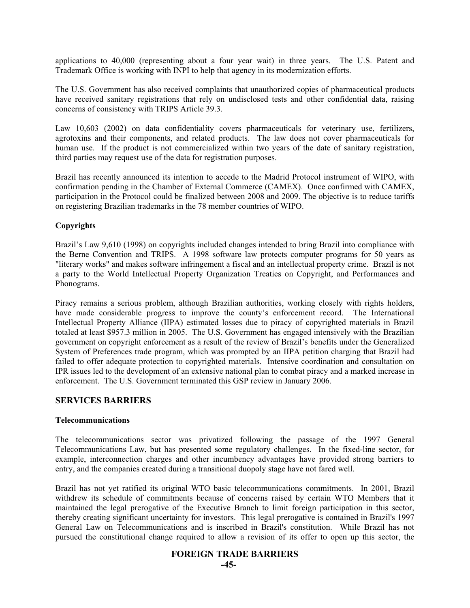applications to 40,000 (representing about a four year wait) in three years. The U.S. Patent and Trademark Office is working with INPI to help that agency in its modernization efforts.

The U.S. Government has also received complaints that unauthorized copies of pharmaceutical products have received sanitary registrations that rely on undisclosed tests and other confidential data, raising concerns of consistency with TRIPS Article 39.3.

Law 10,603 (2002) on data confidentiality covers pharmaceuticals for veterinary use, fertilizers, agrotoxins and their components, and related products. The law does not cover pharmaceuticals for human use. If the product is not commercialized within two years of the date of sanitary registration, third parties may request use of the data for registration purposes.

Brazil has recently announced its intention to accede to the Madrid Protocol instrument of WIPO, with confirmation pending in the Chamber of External Commerce (CAMEX). Once confirmed with CAMEX, participation in the Protocol could be finalized between 2008 and 2009. The objective is to reduce tariffs on registering Brazilian trademarks in the 78 member countries of WIPO.

# **Copyrights**

Brazil's Law 9,610 (1998) on copyrights included changes intended to bring Brazil into compliance with the Berne Convention and TRIPS. A 1998 software law protects computer programs for 50 years as "literary works" and makes software infringement a fiscal and an intellectual property crime. Brazil is not a party to the World Intellectual Property Organization Treaties on Copyright, and Performances and Phonograms.

Piracy remains a serious problem, although Brazilian authorities, working closely with rights holders, have made considerable progress to improve the county's enforcement record. The International Intellectual Property Alliance (IIPA) estimated losses due to piracy of copyrighted materials in Brazil totaled at least \$957.3 million in 2005. The U.S. Government has engaged intensively with the Brazilian government on copyright enforcement as a result of the review of Brazil's benefits under the Generalized System of Preferences trade program, which was prompted by an IIPA petition charging that Brazil had failed to offer adequate protection to copyrighted materials. Intensive coordination and consultation on IPR issues led to the development of an extensive national plan to combat piracy and a marked increase in enforcement. The U.S. Government terminated this GSP review in January 2006.

# **SERVICES BARRIERS**

# **Telecommunications**

The telecommunications sector was privatized following the passage of the 1997 General Telecommunications Law, but has presented some regulatory challenges. In the fixed-line sector, for example, interconnection charges and other incumbency advantages have provided strong barriers to entry, and the companies created during a transitional duopoly stage have not fared well.

Brazil has not yet ratified its original WTO basic telecommunications commitments. In 2001, Brazil withdrew its schedule of commitments because of concerns raised by certain WTO Members that it maintained the legal prerogative of the Executive Branch to limit foreign participation in this sector, thereby creating significant uncertainty for investors. This legal prerogative is contained in Brazil's 1997 General Law on Telecommunications and is inscribed in Brazil's constitution. While Brazil has not pursued the constitutional change required to allow a revision of its offer to open up this sector, the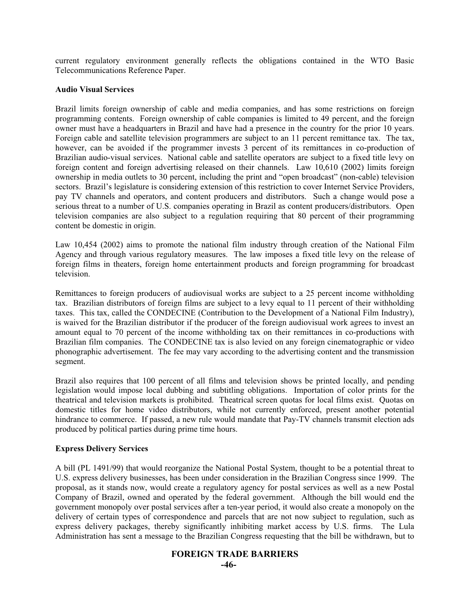current regulatory environment generally reflects the obligations contained in the WTO Basic Telecommunications Reference Paper.

#### **Audio Visual Services**

Brazil limits foreign ownership of cable and media companies, and has some restrictions on foreign programming contents. Foreign ownership of cable companies is limited to 49 percent, and the foreign owner must have a headquarters in Brazil and have had a presence in the country for the prior 10 years. Foreign cable and satellite television programmers are subject to an 11 percent remittance tax. The tax, however, can be avoided if the programmer invests 3 percent of its remittances in co-production of Brazilian audio-visual services. National cable and satellite operators are subject to a fixed title levy on foreign content and foreign advertising released on their channels. Law 10,610 (2002) limits foreign ownership in media outlets to 30 percent, including the print and "open broadcast" (non-cable) television sectors. Brazil's legislature is considering extension of this restriction to cover Internet Service Providers, pay TV channels and operators, and content producers and distributors. Such a change would pose a serious threat to a number of U.S. companies operating in Brazil as content producers/distributors. Open television companies are also subject to a regulation requiring that 80 percent of their programming content be domestic in origin.

Law 10,454 (2002) aims to promote the national film industry through creation of the National Film Agency and through various regulatory measures. The law imposes a fixed title levy on the release of foreign films in theaters, foreign home entertainment products and foreign programming for broadcast television.

Remittances to foreign producers of audiovisual works are subject to a 25 percent income withholding tax. Brazilian distributors of foreign films are subject to a levy equal to 11 percent of their withholding taxes. This tax, called the CONDECINE (Contribution to the Development of a National Film Industry), is waived for the Brazilian distributor if the producer of the foreign audiovisual work agrees to invest an amount equal to 70 percent of the income withholding tax on their remittances in co-productions with Brazilian film companies. The CONDECINE tax is also levied on any foreign cinematographic or video phonographic advertisement. The fee may vary according to the advertising content and the transmission segment.

Brazil also requires that 100 percent of all films and television shows be printed locally, and pending legislation would impose local dubbing and subtitling obligations. Importation of color prints for the theatrical and television markets is prohibited. Theatrical screen quotas for local films exist. Quotas on domestic titles for home video distributors, while not currently enforced, present another potential hindrance to commerce. If passed, a new rule would mandate that Pay-TV channels transmit election ads produced by political parties during prime time hours.

# **Express Delivery Services**

A bill (PL 1491/99) that would reorganize the National Postal System, thought to be a potential threat to U.S. express delivery businesses, has been under consideration in the Brazilian Congress since 1999. The proposal, as it stands now, would create a regulatory agency for postal services as well as a new Postal Company of Brazil, owned and operated by the federal government. Although the bill would end the government monopoly over postal services after a ten-year period, it would also create a monopoly on the delivery of certain types of correspondence and parcels that are not now subject to regulation, such as express delivery packages, thereby significantly inhibiting market access by U.S. firms. The Lula Administration has sent a message to the Brazilian Congress requesting that the bill be withdrawn, but to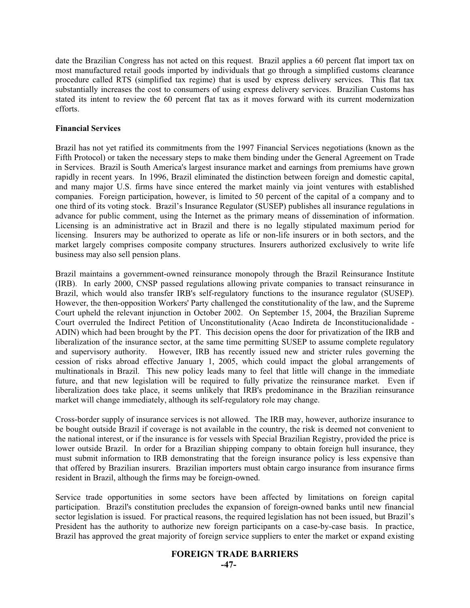date the Brazilian Congress has not acted on this request. Brazil applies a 60 percent flat import tax on most manufactured retail goods imported by individuals that go through a simplified customs clearance procedure called RTS (simplified tax regime) that is used by express delivery services. This flat tax substantially increases the cost to consumers of using express delivery services. Brazilian Customs has stated its intent to review the 60 percent flat tax as it moves forward with its current modernization efforts.

#### **Financial Services**

Brazil has not yet ratified its commitments from the 1997 Financial Services negotiations (known as the Fifth Protocol) or taken the necessary steps to make them binding under the General Agreement on Trade in Services. Brazil is South America's largest insurance market and earnings from premiums have grown rapidly in recent years. In 1996, Brazil eliminated the distinction between foreign and domestic capital, and many major U.S. firms have since entered the market mainly via joint ventures with established companies. Foreign participation, however, is limited to 50 percent of the capital of a company and to one third of its voting stock. Brazil's Insurance Regulator (SUSEP) publishes all insurance regulations in advance for public comment, using the Internet as the primary means of dissemination of information. Licensing is an administrative act in Brazil and there is no legally stipulated maximum period for licensing. Insurers may be authorized to operate as life or non-life insurers or in both sectors, and the market largely comprises composite company structures. Insurers authorized exclusively to write life business may also sell pension plans.

Brazil maintains a government-owned reinsurance monopoly through the Brazil Reinsurance Institute (IRB). In early 2000, CNSP passed regulations allowing private companies to transact reinsurance in Brazil, which would also transfer IRB's self-regulatory functions to the insurance regulator (SUSEP). However, the then-opposition Workers' Party challenged the constitutionality of the law, and the Supreme Court upheld the relevant injunction in October 2002. On September 15, 2004, the Brazilian Supreme Court overruled the Indirect Petition of Unconstitutionality (Acao Indireta de Inconstitucionalidade - ADIN) which had been brought by the PT. This decision opens the door for privatization of the IRB and liberalization of the insurance sector, at the same time permitting SUSEP to assume complete regulatory and supervisory authority. However, IRB has recently issued new and stricter rules governing the cession of risks abroad effective January 1, 2005, which could impact the global arrangements of multinationals in Brazil. This new policy leads many to feel that little will change in the immediate future, and that new legislation will be required to fully privatize the reinsurance market. Even if liberalization does take place, it seems unlikely that IRB's predominance in the Brazilian reinsurance market will change immediately, although its self-regulatory role may change.

Cross-border supply of insurance services is not allowed. The IRB may, however, authorize insurance to be bought outside Brazil if coverage is not available in the country, the risk is deemed not convenient to the national interest, or if the insurance is for vessels with Special Brazilian Registry, provided the price is lower outside Brazil. In order for a Brazilian shipping company to obtain foreign hull insurance, they must submit information to IRB demonstrating that the foreign insurance policy is less expensive than that offered by Brazilian insurers. Brazilian importers must obtain cargo insurance from insurance firms resident in Brazil, although the firms may be foreign-owned.

Service trade opportunities in some sectors have been affected by limitations on foreign capital participation. Brazil's constitution precludes the expansion of foreign-owned banks until new financial sector legislation is issued. For practical reasons, the required legislation has not been issued, but Brazil's President has the authority to authorize new foreign participants on a case-by-case basis. In practice, Brazil has approved the great majority of foreign service suppliers to enter the market or expand existing